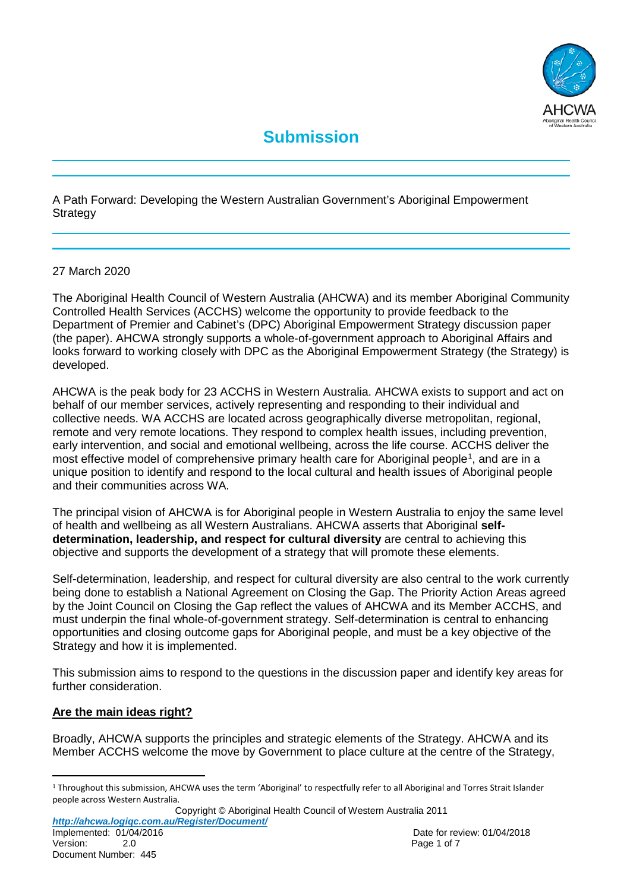

# **Submission**

A Path Forward: Developing the Western Australian Government's Aboriginal Empowerment **Strategy** 

#### 27 March 2020

The Aboriginal Health Council of Western Australia (AHCWA) and its member Aboriginal Community Controlled Health Services (ACCHS) welcome the opportunity to provide feedback to the Department of Premier and Cabinet's (DPC) Aboriginal Empowerment Strategy discussion paper (the paper). AHCWA strongly supports a whole-of-government approach to Aboriginal Affairs and looks forward to working closely with DPC as the Aboriginal Empowerment Strategy (the Strategy) is developed.

AHCWA is the peak body for 23 ACCHS in Western Australia. AHCWA exists to support and act on behalf of our member services, actively representing and responding to their individual and collective needs. WA ACCHS are located across geographically diverse metropolitan, regional, remote and very remote locations. They respond to complex health issues, including prevention, early intervention, and social and emotional wellbeing, across the life course. ACCHS deliver the most effective model of comprehensive primary health care for Aboriginal people<sup>[1](#page-0-0)</sup>, and are in a unique position to identify and respond to the local cultural and health issues of Aboriginal people and their communities across WA.

The principal vision of AHCWA is for Aboriginal people in Western Australia to enjoy the same level of health and wellbeing as all Western Australians. AHCWA asserts that Aboriginal **selfdetermination, leadership, and respect for cultural diversity** are central to achieving this objective and supports the development of a strategy that will promote these elements.

Self-determination, leadership, and respect for cultural diversity are also central to the work currently being done to establish a National Agreement on Closing the Gap. The Priority Action Areas agreed by the Joint Council on Closing the Gap reflect the values of AHCWA and its Member ACCHS, and must underpin the final whole-of-government strategy. Self-determination is central to enhancing opportunities and closing outcome gaps for Aboriginal people, and must be a key objective of the Strategy and how it is implemented.

This submission aims to respond to the questions in the discussion paper and identify key areas for further consideration.

#### **Are the main ideas right?**

Broadly, AHCWA supports the principles and strategic elements of the Strategy. AHCWA and its Member ACCHS welcome the move by Government to place culture at the centre of the Strategy,

Copyright © Aboriginal Health Council of Western Australia 2011 *http://ahcwa.logiqc.com.au/Register/Document/* Implemented: 01/04/2016<br>
Version: 2.0<br>
2.0<br>
Date for review: 01/04/2018

<span id="page-0-0"></span> $1$  Throughout this submission, AHCWA uses the term 'Aboriginal' to respectfully refer to all Aboriginal and Torres Strait Islander people across Western Australia.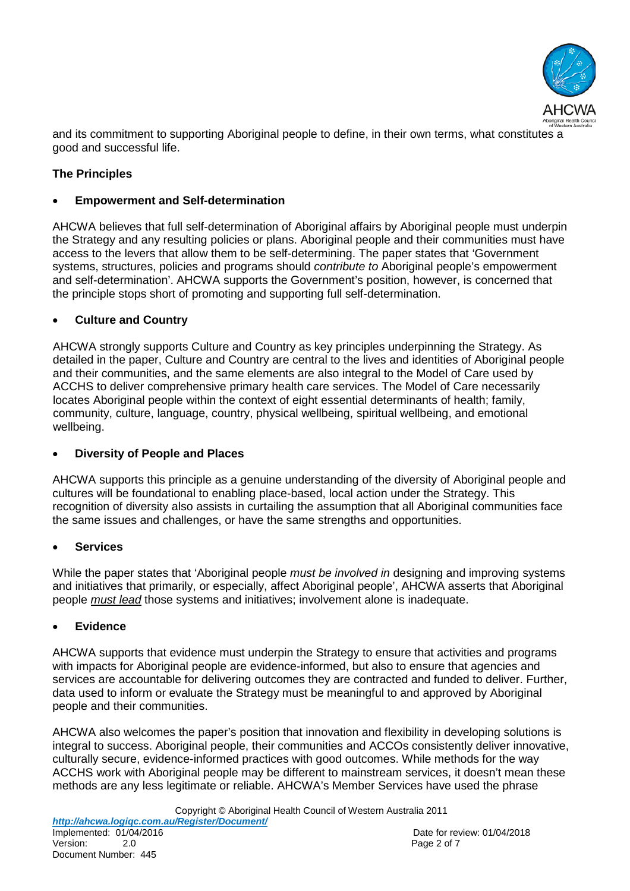

and its commitment to supporting Aboriginal people to define, in their own terms, what constitutes a good and successful life.

## **The Principles**

#### • **Empowerment and Self-determination**

AHCWA believes that full self-determination of Aboriginal affairs by Aboriginal people must underpin the Strategy and any resulting policies or plans. Aboriginal people and their communities must have access to the levers that allow them to be self-determining. The paper states that 'Government systems, structures, policies and programs should *contribute to* Aboriginal people's empowerment and self-determination'. AHCWA supports the Government's position, however, is concerned that the principle stops short of promoting and supporting full self-determination.

## • **Culture and Country**

AHCWA strongly supports Culture and Country as key principles underpinning the Strategy. As detailed in the paper, Culture and Country are central to the lives and identities of Aboriginal people and their communities, and the same elements are also integral to the Model of Care used by ACCHS to deliver comprehensive primary health care services. The Model of Care necessarily locates Aboriginal people within the context of eight essential determinants of health; family, community, culture, language, country, physical wellbeing, spiritual wellbeing, and emotional wellbeing.

## • **Diversity of People and Places**

AHCWA supports this principle as a genuine understanding of the diversity of Aboriginal people and cultures will be foundational to enabling place-based, local action under the Strategy. This recognition of diversity also assists in curtailing the assumption that all Aboriginal communities face the same issues and challenges, or have the same strengths and opportunities.

## • **Services**

While the paper states that 'Aboriginal people *must be involved in* designing and improving systems and initiatives that primarily, or especially, affect Aboriginal people', AHCWA asserts that Aboriginal people *must lead* those systems and initiatives; involvement alone is inadequate.

#### • **Evidence**

AHCWA supports that evidence must underpin the Strategy to ensure that activities and programs with impacts for Aboriginal people are evidence-informed, but also to ensure that agencies and services are accountable for delivering outcomes they are contracted and funded to deliver. Further, data used to inform or evaluate the Strategy must be meaningful to and approved by Aboriginal people and their communities.

AHCWA also welcomes the paper's position that innovation and flexibility in developing solutions is integral to success. Aboriginal people, their communities and ACCOs consistently deliver innovative, culturally secure, evidence-informed practices with good outcomes. While methods for the way ACCHS work with Aboriginal people may be different to mainstream services, it doesn't mean these methods are any less legitimate or reliable. AHCWA's Member Services have used the phrase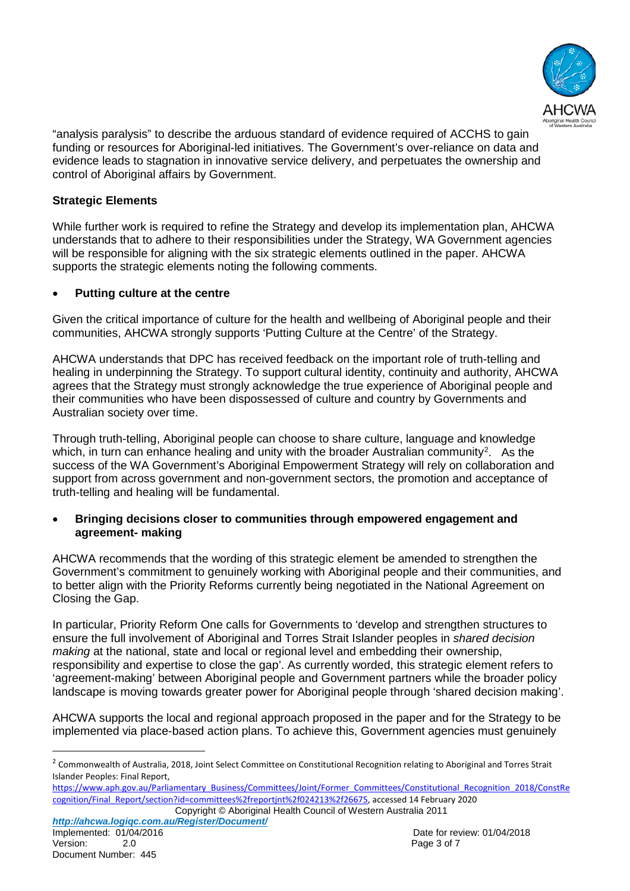

"analysis paralysis" to describe the arduous standard of evidence required of ACCHS to gain funding or resources for Aboriginal-led initiatives. The Government's over-reliance on data and evidence leads to stagnation in innovative service delivery, and perpetuates the ownership and control of Aboriginal affairs by Government.

## **Strategic Elements**

While further work is required to refine the Strategy and develop its implementation plan, AHCWA understands that to adhere to their responsibilities under the Strategy, WA Government agencies will be responsible for aligning with the six strategic elements outlined in the paper. AHCWA supports the strategic elements noting the following comments.

#### • **Putting culture at the centre**

Given the critical importance of culture for the health and wellbeing of Aboriginal people and their communities, AHCWA strongly supports 'Putting Culture at the Centre' of the Strategy.

AHCWA understands that DPC has received feedback on the important role of truth-telling and healing in underpinning the Strategy. To support cultural identity, continuity and authority, AHCWA agrees that the Strategy must strongly acknowledge the true experience of Aboriginal people and their communities who have been dispossessed of culture and country by Governments and Australian society over time.

Through truth-telling, Aboriginal people can choose to share culture, language and knowledge which, in turn can enhance healing and unity with the broader Australian community<sup>2</sup>. As the success of the WA Government's Aboriginal Empowerment Strategy will rely on collaboration and support from across government and non-government sectors, the promotion and acceptance of truth-telling and healing will be fundamental.

#### • **Bringing decisions closer to communities through empowered engagement and agreement- making**

AHCWA recommends that the wording of this strategic element be amended to strengthen the Government's commitment to genuinely working with Aboriginal people and their communities, and to better align with the Priority Reforms currently being negotiated in the National Agreement on Closing the Gap.

In particular, Priority Reform One calls for Governments to 'develop and strengthen structures to ensure the full involvement of Aboriginal and Torres Strait Islander peoples in *shared decision making* at the national, state and local or regional level and embedding their ownership, responsibility and expertise to close the gap'. As currently worded, this strategic element refers to 'agreement-making' between Aboriginal people and Government partners while the broader policy landscape is moving towards greater power for Aboriginal people through 'shared decision making'.

AHCWA supports the local and regional approach proposed in the paper and for the Strategy to be implemented via place-based action plans. To achieve this, Government agencies must genuinely

<span id="page-2-0"></span><sup>&</sup>lt;sup>2</sup> Commonwealth of Australia, 2018, Joint Select Committee on Constitutional Recognition relating to Aboriginal and Torres Strait Islander Peoples: Final Report,

Copyright © Aboriginal Health Council of Western Australia 2011 [https://www.aph.gov.au/Parliamentary\\_Business/Committees/Joint/Former\\_Committees/Constitutional\\_Recognition\\_2018/ConstRe](https://www.aph.gov.au/Parliamentary_Business/Committees/Joint/Former_Committees/Constitutional_Recognition_2018/ConstRecognition/Final_Report/section?id=committees%2freportjnt%2f024213%2f26675) [cognition/Final\\_Report/section?id=committees%2freportjnt%2f024213%2f26675,](https://www.aph.gov.au/Parliamentary_Business/Committees/Joint/Former_Committees/Constitutional_Recognition_2018/ConstRecognition/Final_Report/section?id=committees%2freportjnt%2f024213%2f26675) accessed 14 February 2020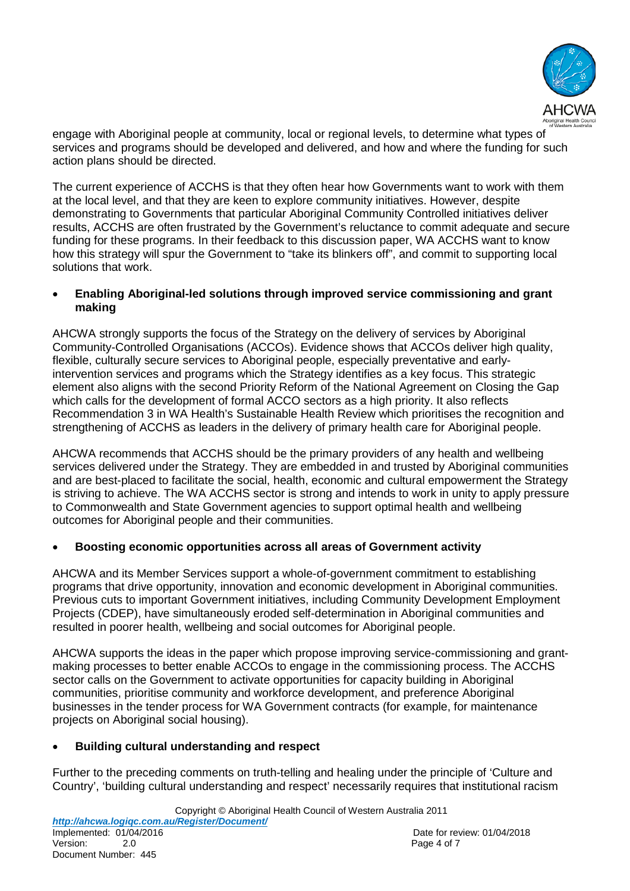

engage with Aboriginal people at community, local or regional levels, to determine what types of services and programs should be developed and delivered, and how and where the funding for such action plans should be directed.

The current experience of ACCHS is that they often hear how Governments want to work with them at the local level, and that they are keen to explore community initiatives. However, despite demonstrating to Governments that particular Aboriginal Community Controlled initiatives deliver results, ACCHS are often frustrated by the Government's reluctance to commit adequate and secure funding for these programs. In their feedback to this discussion paper, WA ACCHS want to know how this strategy will spur the Government to "take its blinkers off", and commit to supporting local solutions that work.

#### • **Enabling Aboriginal-led solutions through improved service commissioning and grant making**

AHCWA strongly supports the focus of the Strategy on the delivery of services by Aboriginal Community-Controlled Organisations (ACCOs). Evidence shows that ACCOs deliver high quality, flexible, culturally secure services to Aboriginal people, especially preventative and earlyintervention services and programs which the Strategy identifies as a key focus. This strategic element also aligns with the second Priority Reform of the National Agreement on Closing the Gap which calls for the development of formal ACCO sectors as a high priority. It also reflects Recommendation 3 in WA Health's Sustainable Health Review which prioritises the recognition and strengthening of ACCHS as leaders in the delivery of primary health care for Aboriginal people.

AHCWA recommends that ACCHS should be the primary providers of any health and wellbeing services delivered under the Strategy. They are embedded in and trusted by Aboriginal communities and are best-placed to facilitate the social, health, economic and cultural empowerment the Strategy is striving to achieve. The WA ACCHS sector is strong and intends to work in unity to apply pressure to Commonwealth and State Government agencies to support optimal health and wellbeing outcomes for Aboriginal people and their communities.

## • **Boosting economic opportunities across all areas of Government activity**

AHCWA and its Member Services support a whole-of-government commitment to establishing programs that drive opportunity, innovation and economic development in Aboriginal communities. Previous cuts to important Government initiatives, including Community Development Employment Projects (CDEP), have simultaneously eroded self-determination in Aboriginal communities and resulted in poorer health, wellbeing and social outcomes for Aboriginal people.

AHCWA supports the ideas in the paper which propose improving service-commissioning and grantmaking processes to better enable ACCOs to engage in the commissioning process. The ACCHS sector calls on the Government to activate opportunities for capacity building in Aboriginal communities, prioritise community and workforce development, and preference Aboriginal businesses in the tender process for WA Government contracts (for example, for maintenance projects on Aboriginal social housing).

## • **Building cultural understanding and respect**

Further to the preceding comments on truth-telling and healing under the principle of 'Culture and Country', 'building cultural understanding and respect' necessarily requires that institutional racism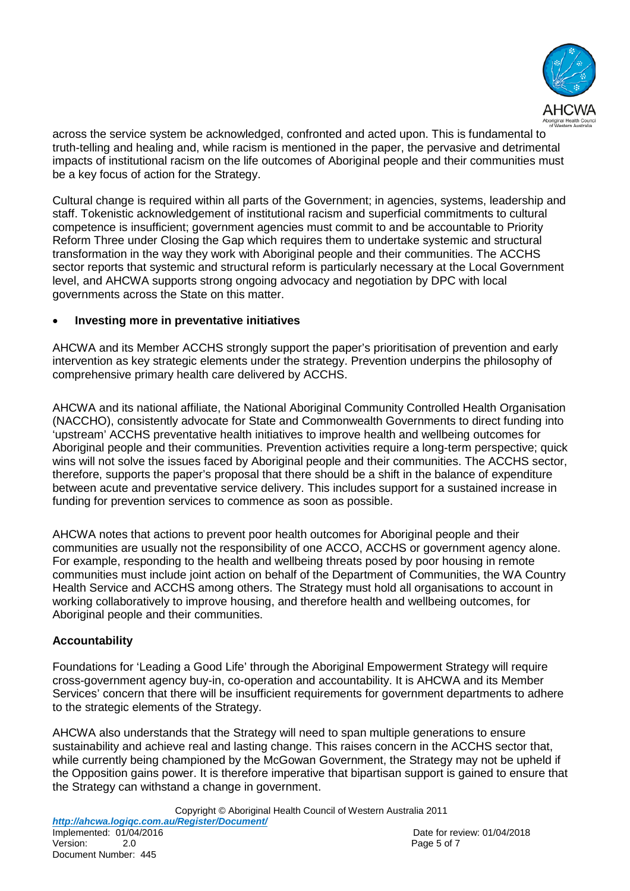

across the service system be acknowledged, confronted and acted upon. This is fundamental to truth-telling and healing and, while racism is mentioned in the paper, the pervasive and detrimental impacts of institutional racism on the life outcomes of Aboriginal people and their communities must be a key focus of action for the Strategy.

Cultural change is required within all parts of the Government; in agencies, systems, leadership and staff. Tokenistic acknowledgement of institutional racism and superficial commitments to cultural competence is insufficient; government agencies must commit to and be accountable to Priority Reform Three under Closing the Gap which requires them to undertake systemic and structural transformation in the way they work with Aboriginal people and their communities. The ACCHS sector reports that systemic and structural reform is particularly necessary at the Local Government level, and AHCWA supports strong ongoing advocacy and negotiation by DPC with local governments across the State on this matter.

#### • **Investing more in preventative initiatives**

AHCWA and its Member ACCHS strongly support the paper's prioritisation of prevention and early intervention as key strategic elements under the strategy. Prevention underpins the philosophy of comprehensive primary health care delivered by ACCHS.

AHCWA and its national affiliate, the National Aboriginal Community Controlled Health Organisation (NACCHO), consistently advocate for State and Commonwealth Governments to direct funding into 'upstream' ACCHS preventative health initiatives to improve health and wellbeing outcomes for Aboriginal people and their communities. Prevention activities require a long-term perspective; quick wins will not solve the issues faced by Aboriginal people and their communities. The ACCHS sector, therefore, supports the paper's proposal that there should be a shift in the balance of expenditure between acute and preventative service delivery. This includes support for a sustained increase in funding for prevention services to commence as soon as possible.

AHCWA notes that actions to prevent poor health outcomes for Aboriginal people and their communities are usually not the responsibility of one ACCO, ACCHS or government agency alone. For example, responding to the health and wellbeing threats posed by poor housing in remote communities must include joint action on behalf of the Department of Communities, the WA Country Health Service and ACCHS among others. The Strategy must hold all organisations to account in working collaboratively to improve housing, and therefore health and wellbeing outcomes, for Aboriginal people and their communities.

## **Accountability**

Foundations for 'Leading a Good Life' through the Aboriginal Empowerment Strategy will require cross-government agency buy-in, co-operation and accountability. It is AHCWA and its Member Services' concern that there will be insufficient requirements for government departments to adhere to the strategic elements of the Strategy.

AHCWA also understands that the Strategy will need to span multiple generations to ensure sustainability and achieve real and lasting change. This raises concern in the ACCHS sector that, while currently being championed by the McGowan Government, the Strategy may not be upheld if the Opposition gains power. It is therefore imperative that bipartisan support is gained to ensure that the Strategy can withstand a change in government.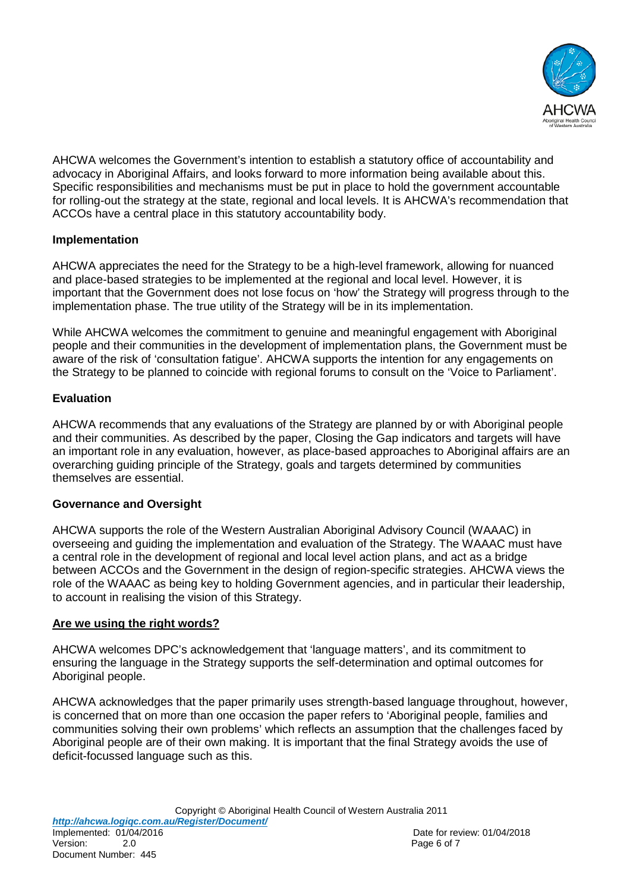

AHCWA welcomes the Government's intention to establish a statutory office of accountability and advocacy in Aboriginal Affairs, and looks forward to more information being available about this. Specific responsibilities and mechanisms must be put in place to hold the government accountable for rolling-out the strategy at the state, regional and local levels. It is AHCWA's recommendation that ACCOs have a central place in this statutory accountability body.

## **Implementation**

AHCWA appreciates the need for the Strategy to be a high-level framework, allowing for nuanced and place-based strategies to be implemented at the regional and local level. However, it is important that the Government does not lose focus on 'how' the Strategy will progress through to the implementation phase. The true utility of the Strategy will be in its implementation.

While AHCWA welcomes the commitment to genuine and meaningful engagement with Aboriginal people and their communities in the development of implementation plans, the Government must be aware of the risk of 'consultation fatigue'. AHCWA supports the intention for any engagements on the Strategy to be planned to coincide with regional forums to consult on the 'Voice to Parliament'.

# **Evaluation**

AHCWA recommends that any evaluations of the Strategy are planned by or with Aboriginal people and their communities. As described by the paper, Closing the Gap indicators and targets will have an important role in any evaluation, however, as place-based approaches to Aboriginal affairs are an overarching guiding principle of the Strategy, goals and targets determined by communities themselves are essential.

# **Governance and Oversight**

AHCWA supports the role of the Western Australian Aboriginal Advisory Council (WAAAC) in overseeing and guiding the implementation and evaluation of the Strategy. The WAAAC must have a central role in the development of regional and local level action plans, and act as a bridge between ACCOs and the Government in the design of region-specific strategies. AHCWA views the role of the WAAAC as being key to holding Government agencies, and in particular their leadership, to account in realising the vision of this Strategy.

# **Are we using the right words?**

AHCWA welcomes DPC's acknowledgement that 'language matters', and its commitment to ensuring the language in the Strategy supports the self-determination and optimal outcomes for Aboriginal people.

AHCWA acknowledges that the paper primarily uses strength-based language throughout, however, is concerned that on more than one occasion the paper refers to 'Aboriginal people, families and communities solving their own problems' which reflects an assumption that the challenges faced by Aboriginal people are of their own making. It is important that the final Strategy avoids the use of deficit-focussed language such as this.